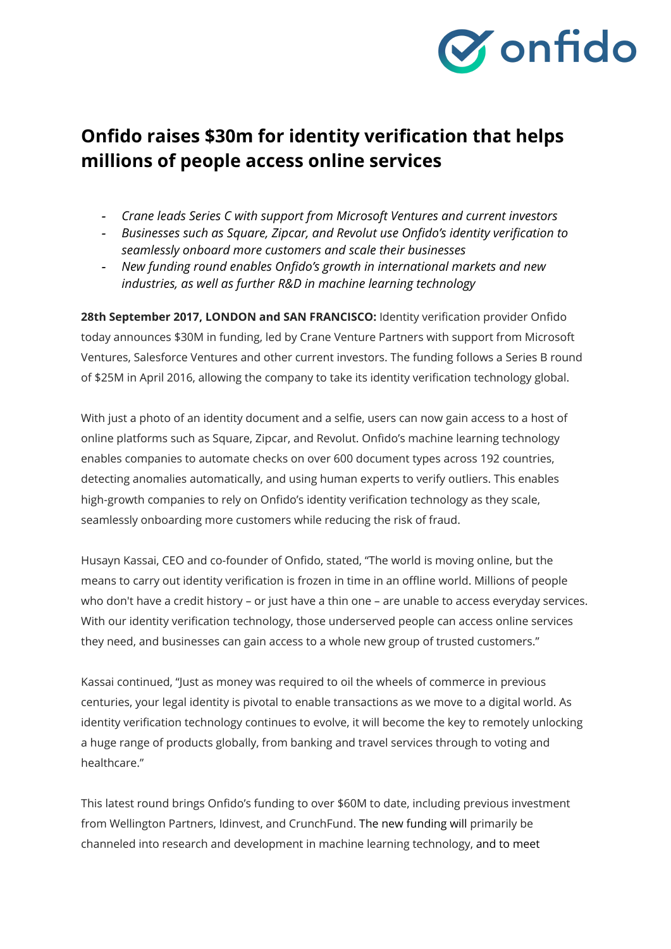

# **Onfido raises \$30m for identity verification that helps millions of people access online services**

- *- Crane leads Series C with support from Microsoft Ventures and current investors*
- *- Businesses such as Square, Zipcar, and Revolut use Onfido's identity verification to seamlessly onboard more customers and scale their businesses*
- *- New funding round enables Onfido's growth in international markets and new industries, as well as further R&D in machine learning technology*

**28th September 2017, LONDON and SAN FRANCISCO:** Identity verification provider Onfido today announces \$30M in funding, led by Crane Venture Partners with support from Microsoft Ventures, Salesforce Ventures and other current investors. The funding follows a Series B round of \$25M in April 2016, allowing the company to take its identity verification technology global.

With just a photo of an identity document and a selfie, users can now gain access to a host of online platforms such as Square, Zipcar, and Revolut. Onfido's machine learning technology enables companies to automate checks on over 600 document types across 192 countries, detecting anomalies automatically, and using human experts to verify outliers. This enables high-growth companies to rely on Onfido's identity verification technology as they scale, seamlessly onboarding more customers while reducing the risk of fraud.

Husayn Kassai, CEO and co-founder of Onfido, stated, "The world is moving online, but the means to carry out identity verification is frozen in time in an offline world. Millions of people who don't have a credit history – or just have a thin one – are unable to access everyday services. With our identity verification technology, those underserved people can access online services they need, and businesses can gain access to a whole new group of trusted customers."

Kassai continued, "Just as money was required to oil the wheels of commerce in previous centuries, your legal identity is pivotal to enable transactions as we move to a digital world. As identity verification technology continues to evolve, it will become the key to remotely unlocking a huge range of products globally, from banking and travel services through to voting and healthcare."

This latest round brings Onfido's funding to over \$60M to date, including previous investment from Wellington Partners, Idinvest, and CrunchFund. The new funding will primarily be channeled into research and development in machine learning technology, and to meet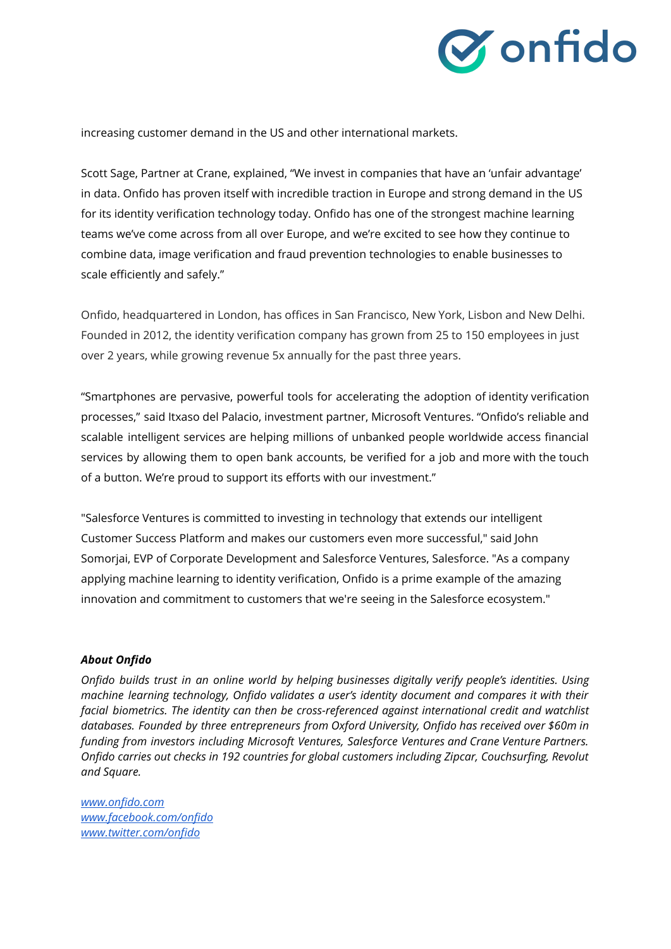

increasing customer demand in the US and other international markets.

Scott Sage, Partner at Crane, explained, "We invest in companies that have an 'unfair advantage' in data. Onfido has proven itself with incredible traction in Europe and strong demand in the US for its identity verification technology today. Onfido has one of the strongest machine learning teams we've come across from all over Europe, and we're excited to see how they continue to combine data, image verification and fraud prevention technologies to enable businesses to scale efficiently and safely."

Onfido, headquartered in London, has offices in San Francisco, New York, Lisbon and New Delhi. Founded in 2012, the identity verification company has grown from 25 to 150 employees in just over 2 years, while growing revenue 5x annually for the past three years.

"Smartphones are pervasive, powerful tools for accelerating the adoption of identity verification processes," said Itxaso del Palacio, investment partner, Microsoft Ventures. "Onfido's reliable and scalable intelligent services are helping millions of unbanked people worldwide access financial services by allowing them to open bank accounts, be verified for a job and more with the touch of a button. We're proud to support its efforts with our investment."

"Salesforce Ventures is committed to investing in technology that extends our intelligent Customer Success Platform and makes our customers even more successful," said John Somorjai, EVP of Corporate Development and Salesforce Ventures, Salesforce. "As a company applying machine learning to identity verification, Onfido is a prime example of the amazing innovation and commitment to customers that we're seeing in the Salesforce ecosystem."

# *About Onfido*

*Onfido builds trust in an online world by helping businesses digitally verify people's identities. Using machine learning technology, Onfido validates a user's identity document and compares it with their facial biometrics. The identity can then be cross-referenced against international credit and watchlist databases. Founded by three entrepreneurs from Oxford University, Onfido has received over \$60m in funding from investors including Microsoft Ventures, Salesforce Ventures and Crane Venture Partners. Onfido carries out checks in 192 countries for global customers including Zipcar, Couchsurfing, Revolut and Square.*

*[www.onfido.com](http://www.onfido.com/) [www.facebook.com/onfido](http://www.facebook.com/onfido) [www.twitter.com/onfido](http://www.twitter.com/onfido)*